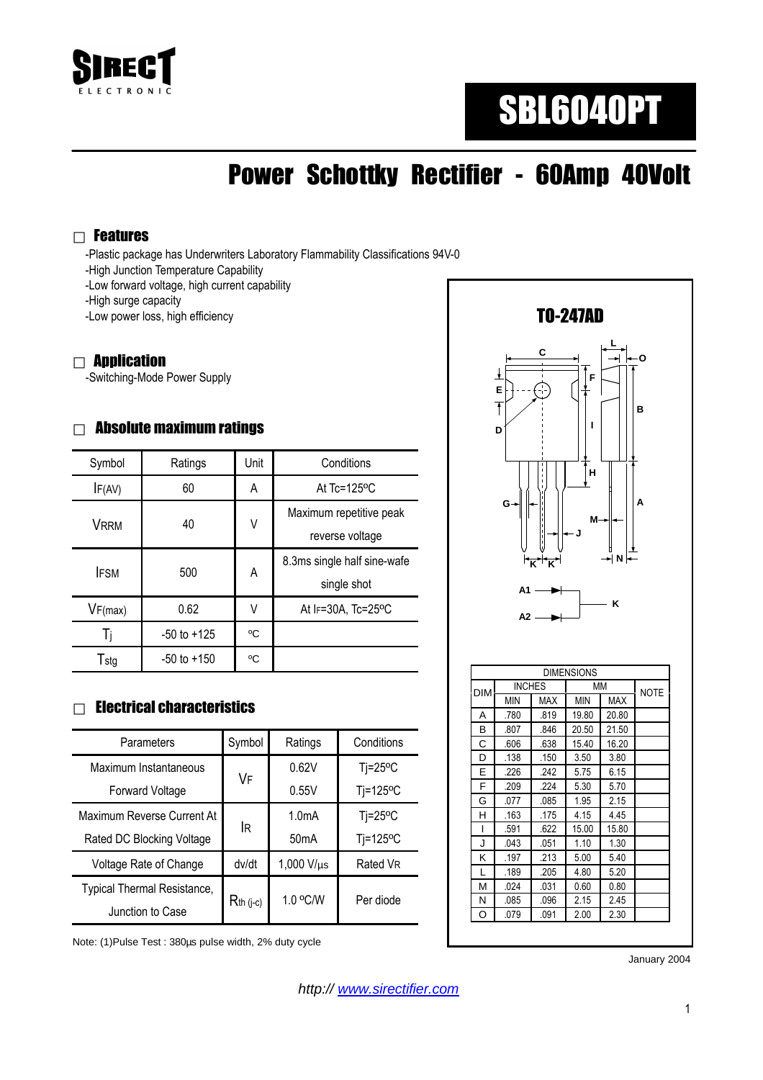

# SBL6040PT

## Power Schottky Rectifier - 60Amp 40Volt

#### Features

-Plastic package has Underwriters Laboratory Flammability Classifications 94V-0

- -High Junction Temperature Capability
- -Low forward voltage, high current capability

-High surge capacity

-Low power loss, high efficiency

#### **Application**

-Switching-Mode Power Supply

#### Absolute maximum ratings

| Symbol      | Ratings         | Unit | Conditions                                 |  |
|-------------|-----------------|------|--------------------------------------------|--|
| IF(AV)      | 60              | A    | At $Tc = 125$ <sup>o</sup> C               |  |
| <b>VRRM</b> | 40              | ٧    | Maximum repetitive peak<br>reverse voltage |  |
| <b>IFSM</b> | 500             | A    | 8.3ms single half sine-wafe<br>single shot |  |
| VF(max)     | 0.62            | V    | At IF=30A, Tc=25°C                         |  |
| Ti          | $-50$ to $+125$ | °C   |                                            |  |
| Tstg        | $-50$ to $+150$ | °C   |                                            |  |

#### Electrical characteristics

| Parameters                  | Symbol         | Ratings            | Conditions       |
|-----------------------------|----------------|--------------------|------------------|
| Maximum Instantaneous       |                | 0.62V              | $Ti=25^{\circ}C$ |
| <b>Forward Voltage</b>      | VF             | 0.55V              | Tj=125°C         |
| Maximum Reverse Current At  | lR.            | 1.0 <sub>m</sub> A | $Ti=25^{\circ}C$ |
| Rated DC Blocking Voltage   |                | 50 <sub>m</sub> A  | Tj=125°C         |
| Voltage Rate of Change      | dv/dt          | $1,000$ V/ $\mu s$ | Rated VR         |
| Typical Thermal Resistance, | $R_{th}$ (j-c) | 1.0 °C/W           | Per diode        |
| Junction to Case            |                |                    |                  |

Note: (1)Pulse Test : 380µs pulse width, 2% duty cycle



|            |               |            | <b>DIMENSIONS</b> |             |  |
|------------|---------------|------------|-------------------|-------------|--|
| <b>DIM</b> | <b>INCHES</b> |            | МM                | <b>NOTE</b> |  |
|            | <b>MIN</b>    | <b>MAX</b> | <b>MIN</b>        | <b>MAX</b>  |  |
| A          | .780          | .819       | 19.80             | 20.80       |  |
| B          | .807          | .846       | 20.50             | 21.50       |  |
| Ċ          | .606          | .638       | 15.40             | 16.20       |  |
| D          | .138          | .150       | 3.50              | 3.80        |  |
| E          | .226          | .242       | 5.75              | 6.15        |  |
| F          | .209          | .224       | 5.30              | 5.70        |  |
| G          | .077          | .085       | 1.95              | 2.15        |  |
| н          | .163          | .175       | 4.15              | 4.45        |  |
| ı          | .591          | .622       | 15.00             | 15.80       |  |
| J          | .043          | .051       | 1.10              | 1.30        |  |
| κ          | .197          | .213       | 5.00              | 5.40        |  |
| L          | .189          | .205       | 4.80              | 5.20        |  |
| M          | .024          | .031       | 0.60              | 0.80        |  |
| Ν          | .085          | .096       | 2.15              | 2.45        |  |
| O          | .079          | .091       | 2.00              | 2.30        |  |

January 2004